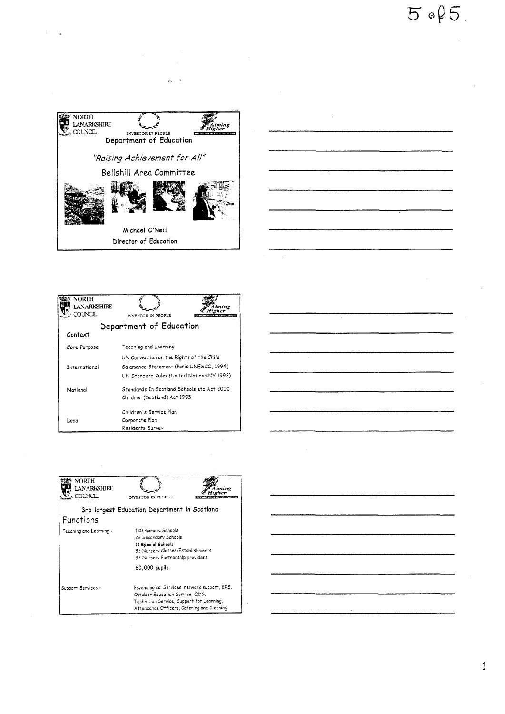

 $\mathcal{P}_\mathrm{L}$  $\sim$   $^{\circ}$ 



| <b>NORTH</b><br>LANARKSHIRE<br>COUNCIL | <b><i>ENVESTOR IN PEOPLE</i></b>                                                                                                   |  |  |
|----------------------------------------|------------------------------------------------------------------------------------------------------------------------------------|--|--|
| Department of Education<br>Context     |                                                                                                                                    |  |  |
| Core Purpose                           | Teaching and Learning                                                                                                              |  |  |
| International                          | UN Convention on the Rights of the Child<br>Salamanca Statement (Paris:UNESCO, 1994)<br>UN Standard Rules (United Nations:NY 1993) |  |  |
| National                               | Standards In Scotland Schools etc Act 2000<br>Children (Scotland) Act 1995                                                         |  |  |
| Local                                  | Children's Service Plan<br>Corporate Plan<br>Residents Survey                                                                      |  |  |



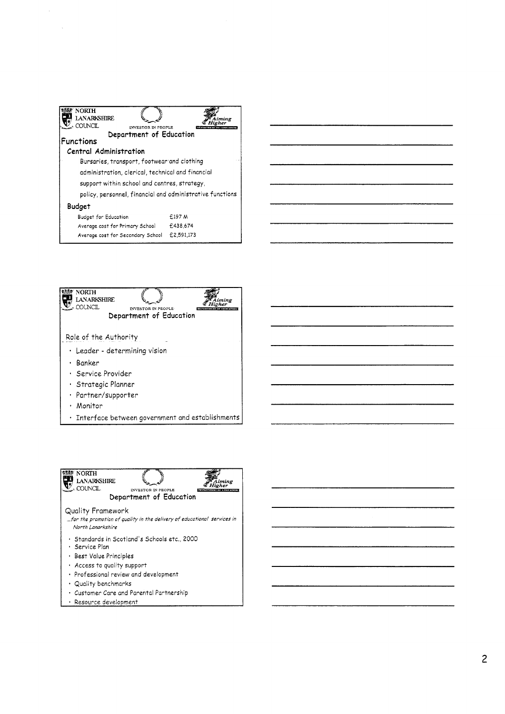| <b>NORTH</b><br>LANARKSHIRE<br>COUNCIL                    |            |  |
|-----------------------------------------------------------|------------|--|
| INVESTOR IN PEOPLE<br>Department of Education             |            |  |
| Functions                                                 |            |  |
| Central Administration                                    |            |  |
| Bursaries, transport, footwear and clothing               |            |  |
| administration, clerical, technical and financial         |            |  |
| support within school and centres, strategy,              |            |  |
| policy, personnel, financial and administrative functions |            |  |
| Budget                                                    |            |  |
| Budget for Education                                      | £197 M     |  |
| Average cost for Primary School                           | £438,674   |  |
| Average cost for Secondary School                         | £2.591.173 |  |





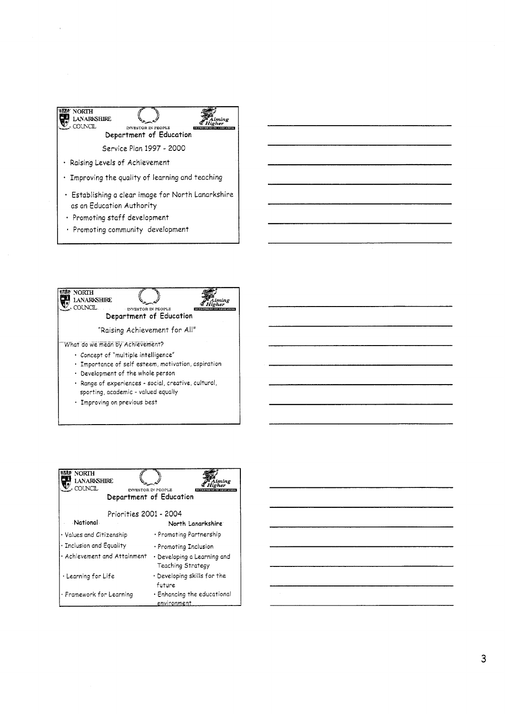



| NORTH<br>I ANARKSHIRE<br>COUNCIL<br><b>INVESTOR IN PEOPLE</b><br>Department of Education |                                                  |  |  |
|------------------------------------------------------------------------------------------|--------------------------------------------------|--|--|
| Priorities 2001 - 2004                                                                   |                                                  |  |  |
| National                                                                                 | North Lanarkshire                                |  |  |
| • Values and Citizenship                                                                 | • Promoting Partnership                          |  |  |
| · Inclusion and Equality                                                                 | $\cdot$ Promoting Inclusion                      |  |  |
| · Achievement and Attainment                                                             | · Developing a Learning and<br>Teaching Strategy |  |  |
| • Learning for Life                                                                      | $\cdot$ Developing skills for the<br>future      |  |  |
| · Framework for Learning                                                                 | $\cdot$ Enhancing the educational<br>environment |  |  |

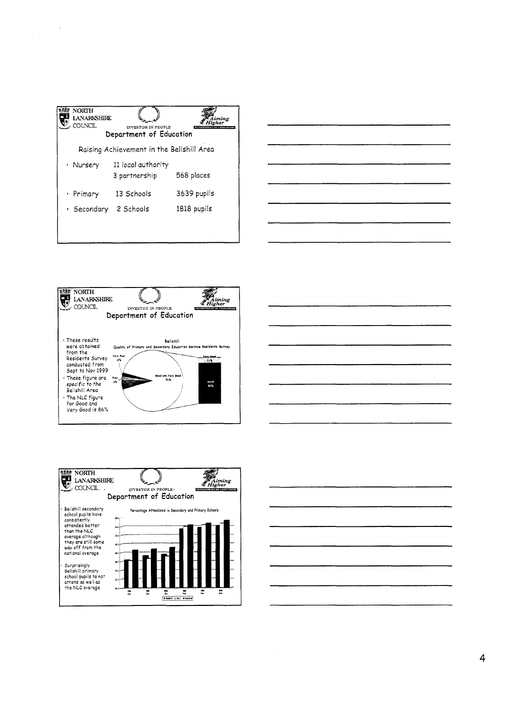| <b>NORTH</b><br><b>LANARKSHIRE</b><br>COI NCIL | INVESTOR IN PEOPLE<br>Department of Education |             |  |
|------------------------------------------------|-----------------------------------------------|-------------|--|
| Raising Achievement in the Bellshill Area      |                                               |             |  |
| • Nursery                                      | 11 local authority<br>3 partnership           | 568 places  |  |
| • Primary                                      | 13 Schools                                    | 3639 pupils |  |
| • Secondary                                    | 2 Schools                                     | 1818 pupils |  |
|                                                |                                               |             |  |

 $\sim$ 

| _________________ |                                                                                                                      | _____ |
|-------------------|----------------------------------------------------------------------------------------------------------------------|-------|
|                   |                                                                                                                      |       |
|                   |                                                                                                                      | __    |
|                   |                                                                                                                      |       |
|                   |                                                                                                                      |       |
| ----              |                                                                                                                      |       |
|                   |                                                                                                                      |       |
|                   | <u> Andrews American American American American American American American American American American American A</u> | ----  |
|                   |                                                                                                                      |       |
|                   |                                                                                                                      | ____  |
|                   |                                                                                                                      |       |







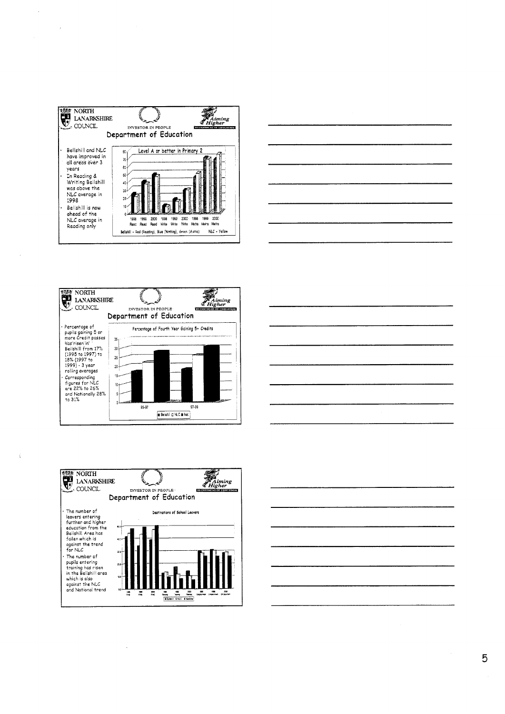

 $\mathcal{L}$ 

 $\,$  (